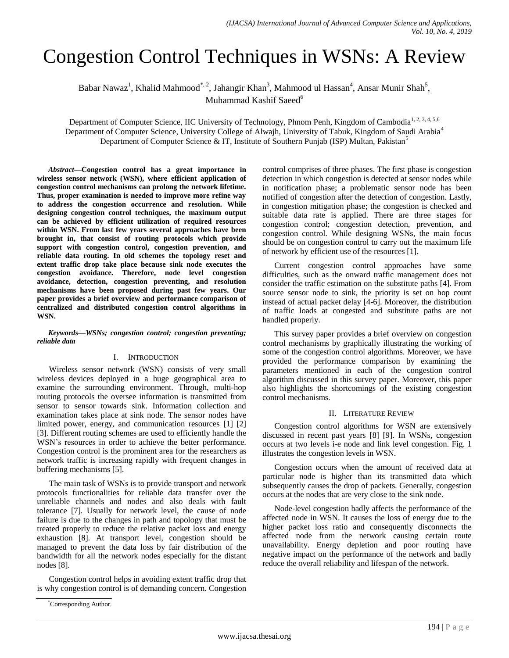# Congestion Control Techniques in WSNs: A Review

Babar Nawaz<sup>1</sup>, Khalid Mahmood<sup>\*, 2</sup>, Jahangir Khan<sup>3</sup>, Mahmood ul Hassan<sup>4</sup>, Ansar Munir Shah<sup>5</sup>, Muhammad Kashif Saeed<sup>6</sup>

Department of Computer Science, IIC University of Technology, Phnom Penh, Kingdom of Cambodia<sup>1, 2, 3, 4, 5,6</sup> Department of Computer Science, University College of Alwajh, University of Tabuk, Kingdom of Saudi Arabia<sup>4</sup> Department of Computer Science & IT, Institute of Southern Punjab (ISP) Multan, Pakistan<sup>5</sup>

*Abstract***—Congestion control has a great importance in wireless sensor network (WSN), where efficient application of congestion control mechanisms can prolong the network lifetime. Thus, proper examination is needed to improve more refine way to address the congestion occurrence and resolution. While designing congestion control techniques, the maximum output can be achieved by efficient utilization of required resources within WSN. From last few years several approaches have been brought in, that consist of routing protocols which provide support with congestion control, congestion prevention, and reliable data routing. In old schemes the topology reset and extent traffic drop take place because sink node executes the congestion avoidance. Therefore, node level congestion avoidance, detection, congestion preventing, and resolution mechanisms have been proposed during past few years. Our paper provides a brief overview and performance comparison of centralized and distributed congestion control algorithms in WSN.**

*Keywords—WSNs; congestion control; congestion preventing; reliable data*

### I. INTRODUCTION

Wireless sensor network (WSN) consists of very small wireless devices deployed in a huge geographical area to examine the surrounding environment. Through, multi-hop routing protocols the oversee information is transmitted from sensor to sensor towards sink. Information collection and examination takes place at sink node. The sensor nodes have limited power, energy, and communication resources [1] [2] [3]. Different routing schemes are used to efficiently handle the WSN's resources in order to achieve the better performance. Congestion control is the prominent area for the researchers as network traffic is increasing rapidly with frequent changes in buffering mechanisms [5].

The main task of WSNs is to provide transport and network protocols functionalities for reliable data transfer over the unreliable channels and nodes and also deals with fault tolerance [7]. Usually for network level, the cause of node failure is due to the changes in path and topology that must be treated properly to reduce the relative packet loss and energy exhaustion [8]. At transport level, congestion should be managed to prevent the data loss by fair distribution of the bandwidth for all the network nodes especially for the distant nodes [8].

Congestion control helps in avoiding extent traffic drop that is why congestion control is of demanding concern. Congestion control comprises of three phases. The first phase is congestion detection in which congestion is detected at sensor nodes while in notification phase; a problematic sensor node has been notified of congestion after the detection of congestion. Lastly, in congestion mitigation phase; the congestion is checked and suitable data rate is applied. There are three stages for congestion control; congestion detection, prevention, and congestion control. While designing WSNs, the main focus should be on congestion control to carry out the maximum life of network by efficient use of the resources [1].

Current congestion control approaches have some difficulties, such as the onward traffic management does not consider the traffic estimation on the substitute paths [4]. From source sensor node to sink, the priority is set on hop count instead of actual packet delay [4-6]. Moreover, the distribution of traffic loads at congested and substitute paths are not handled properly.

This survey paper provides a brief overview on congestion control mechanisms by graphically illustrating the working of some of the congestion control algorithms. Moreover, we have provided the performance comparison by examining the parameters mentioned in each of the congestion control algorithm discussed in this survey paper. Moreover, this paper also highlights the shortcomings of the existing congestion control mechanisms.

#### II. LITERATURE REVIEW

Congestion control algorithms for WSN are extensively discussed in recent past years [8] [9]. In WSNs, congestion occurs at two levels i-e node and link level congestion. Fig. 1 illustrates the congestion levels in WSN.

Congestion occurs when the amount of received data at particular node is higher than its transmitted data which subsequently causes the drop of packets. Generally, congestion occurs at the nodes that are very close to the sink node.

Node-level congestion badly affects the performance of the affected node in WSN. It causes the loss of energy due to the higher packet loss ratio and consequently disconnects the affected node from the network causing certain route unavailability. Energy depletion and poor routing have negative impact on the performance of the network and badly reduce the overall reliability and lifespan of the network.

<sup>\*</sup>Corresponding Author.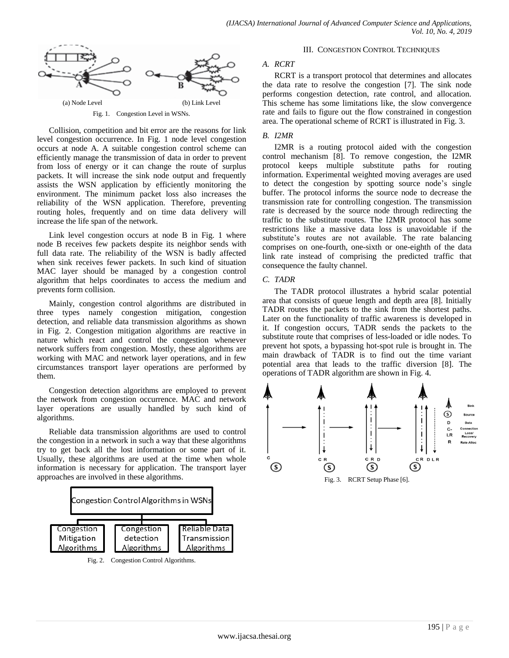

Collision, competition and bit error are the reasons for link level congestion occurrence. In Fig. 1 node level congestion occurs at node A. A suitable congestion control scheme can efficiently manage the transmission of data in order to prevent from loss of energy or it can change the route of surplus packets. It will increase the sink node output and frequently assists the WSN application by efficiently monitoring the environment. The minimum packet loss also increases the reliability of the WSN application. Therefore, preventing routing holes, frequently and on time data delivery will increase the life span of the network.

Link level congestion occurs at node B in Fig. 1 where node B receives few packets despite its neighbor sends with full data rate. The reliability of the WSN is badly affected when sink receives fewer packets. In such kind of situation MAC layer should be managed by a congestion control algorithm that helps coordinates to access the medium and prevents form collision.

Mainly, congestion control algorithms are distributed in three types namely congestion mitigation, congestion detection, and reliable data transmission algorithms as shown in Fig. 2. Congestion mitigation algorithms are reactive in nature which react and control the congestion whenever network suffers from congestion. Mostly, these algorithms are working with MAC and network layer operations, and in few circumstances transport layer operations are performed by them.

Congestion detection algorithms are employed to prevent the network from congestion occurrence. MAC and network layer operations are usually handled by such kind of algorithms.

Reliable data transmission algorithms are used to control the congestion in a network in such a way that these algorithms try to get back all the lost information or some part of it. Usually, these algorithms are used at the time when whole information is necessary for application. The transport layer approaches are involved in these algorithms.



Fig. 2. Congestion Control Algorithms.

### III. CONGESTION CONTROL TECHNIQUES

# *A. RCRT*

RCRT is a transport protocol that determines and allocates the data rate to resolve the congestion [7]. The sink node performs congestion detection, rate control, and allocation. This scheme has some limitations like, the slow convergence rate and fails to figure out the flow constrained in congestion area. The operational scheme of RCRT is illustrated in Fig. 3.

# *B. I2MR*

I2MR is a routing protocol aided with the congestion control mechanism [8]. To remove congestion, the I2MR protocol keeps multiple substitute paths for routing information. Experimental weighted moving averages are used to detect the congestion by spotting source node's single buffer. The protocol informs the source node to decrease the transmission rate for controlling congestion. The transmission rate is decreased by the source node through redirecting the traffic to the substitute routes. The I2MR protocol has some restrictions like a massive data loss is unavoidable if the substitute's routes are not available. The rate balancing comprises on one-fourth, one-sixth or one-eighth of the data link rate instead of comprising the predicted traffic that consequence the faulty channel.

# *C. TADR*

The TADR protocol illustrates a hybrid scalar potential area that consists of queue length and depth area [8]. Initially TADR routes the packets to the sink from the shortest paths. Later on the functionality of traffic awareness is developed in it. If congestion occurs, TADR sends the packets to the substitute route that comprises of less-loaded or idle nodes. To prevent hot spots, a bypassing hot-spot rule is brought in. The main drawback of TADR is to find out the time variant potential area that leads to the traffic diversion [8]. The operations of TADR algorithm are shown in Fig. 4.

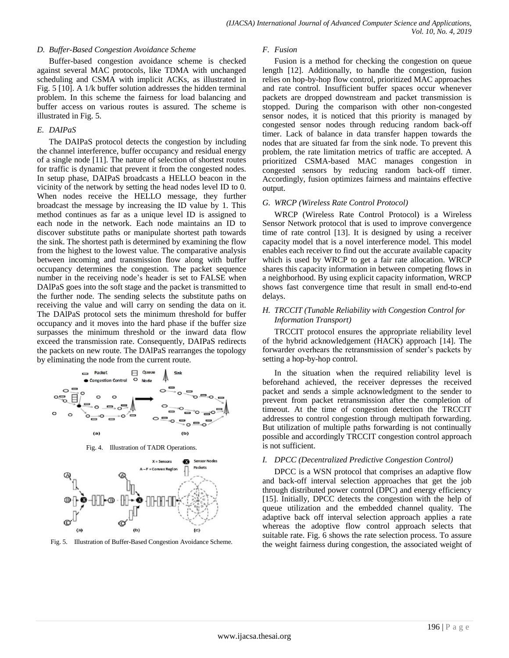#### *D. Buffer-Based Congestion Avoidance Scheme*

Buffer-based congestion avoidance scheme is checked against several MAC protocols, like TDMA with unchanged scheduling and CSMA with implicit ACKs, as illustrated in Fig. 5 [10]. A 1/k buffer solution addresses the hidden terminal problem. In this scheme the fairness for load balancing and buffer access on various routes is assured. The scheme is illustrated in Fig. 5.

### *E. DAIPaS*

The DAIPaS protocol detects the congestion by including the channel interference, buffer occupancy and residual energy of a single node [11]. The nature of selection of shortest routes for traffic is dynamic that prevent it from the congested nodes. In setup phase, DAIPaS broadcasts a HELLO beacon in the vicinity of the network by setting the head nodes level ID to 0. When nodes receive the HELLO message, they further broadcast the message by increasing the ID value by 1. This method continues as far as a unique level ID is assigned to each node in the network. Each node maintains an ID to discover substitute paths or manipulate shortest path towards the sink. The shortest path is determined by examining the flow from the highest to the lowest value. The comparative analysis between incoming and transmission flow along with buffer occupancy determines the congestion. The packet sequence number in the receiving node's header is set to FALSE when DAlPaS goes into the soft stage and the packet is transmitted to the further node. The sending selects the substitute paths on receiving the value and will carry on sending the data on it. The DAlPaS protocol sets the minimum threshold for buffer occupancy and it moves into the hard phase if the buffer size surpasses the minimum threshold or the inward data flow exceed the transmission rate. Consequently, DAIPaS redirects the packets on new route. The DAlPaS rearranges the topology by eliminating the node from the current route.



Fig. 4. Illustration of TADR Operations.



Fig. 5. Illustration of Buffer-Based Congestion Avoidance Scheme.

#### *F. Fusion*

Fusion is a method for checking the congestion on queue length [12]. Additionally, to handle the congestion, fusion relies on hop-by-hop flow control, prioritized MAC approaches and rate control. Insufficient buffer spaces occur whenever packets are dropped downstream and packet transmission is stopped. During the comparison with other non-congested sensor nodes, it is noticed that this priority is managed by congested sensor nodes through reducing random back-off timer. Lack of balance in data transfer happen towards the nodes that are situated far from the sink node. To prevent this problem, the rate limitation metrics of traffic are accepted. A prioritized CSMA-based MAC manages congestion in congested sensors by reducing random back-off timer. Accordingly, fusion optimizes fairness and maintains effective output.

## *G. WRCP (Wireless Rate Control Protocol)*

WRCP (Wireless Rate Control Protocol) is a Wireless Sensor Network protocol that is used to improve convergence time of rate control [13]. It is designed by using a receiver capacity model that is a novel interference model. This model enables each receiver to find out the accurate available capacity which is used by WRCP to get a fair rate allocation. WRCP shares this capacity information in between competing flows in a neighborhood. By using explicit capacity information, WRCP shows fast convergence time that result in small end-to-end delays.

## *H. TRCCIT (Tunable Reliability with Congestion Control for Information Transport)*

TRCCIT protocol ensures the appropriate reliability level of the hybrid acknowledgement (HACK) approach [14]. The forwarder overhears the retransmission of sender's packets by setting a hop-by-hop control.

In the situation when the required reliability level is beforehand achieved, the receiver depresses the received packet and sends a simple acknowledgment to the sender to prevent from packet retransmission after the completion of timeout. At the time of congestion detection the TRCCIT addresses to control congestion through multipath forwarding. But utilization of multiple paths forwarding is not continually possible and accordingly TRCCIT congestion control approach is not sufficient.

#### *I. DPCC (Decentralized Predictive Congestion Control)*

DPCC is a WSN protocol that comprises an adaptive flow and back-off interval selection approaches that get the job through distributed power control (DPC) and energy efficiency [15]. Initially, DPCC detects the congestion with the help of queue utilization and the embedded channel quality. The adaptive back off interval selection approach applies a rate whereas the adoptive flow control approach selects that suitable rate. Fig. 6 shows the rate selection process. To assure the weight fairness during congestion, the associated weight of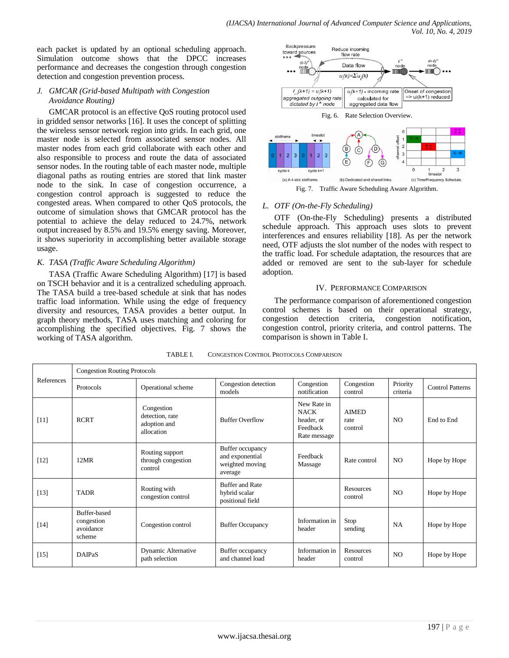each packet is updated by an optional scheduling approach. Simulation outcome shows that the DPCC increases performance and decreases the congestion through congestion detection and congestion prevention process.

# *J. GMCAR (Grid-based Multipath with Congestion Avoidance Routing)*

GMCAR protocol is an effective QoS routing protocol used in gridded sensor networks [16]. It uses the concept of splitting the wireless sensor network region into grids. In each grid, one master node is selected from associated sensor nodes. All master nodes from each grid collaborate with each other and also responsible to process and route the data of associated sensor nodes. In the routing table of each master node, multiple diagonal paths as routing entries are stored that link master node to the sink. In case of congestion occurrence, a congestion control approach is suggested to reduce the congested areas. When compared to other QoS protocols, the outcome of simulation shows that GMCAR protocol has the potential to achieve the delay reduced to 24.7%, network output increased by 8.5% and 19.5% energy saving. Moreover, it shows superiority in accomplishing better available storage usage.

# *K. TASA (Traffic Aware Scheduling Algorithm)*

TASA (Traffic Aware Scheduling Algorithm) [17] is based on TSCH behavior and it is a centralized scheduling approach. The TASA build a tree-based schedule at sink that has nodes traffic load information. While using the edge of frequency diversity and resources, TASA provides a better output. In graph theory methods, TASA uses matching and coloring for accomplishing the specified objectives. Fig. 7 shows the working of TASA algorithm.



Fig. 7. Traffic Aware Scheduling Aware Algorithm.

# *L. OTF (On-the-Fly Scheduling)*

OTF (On-the-Fly Scheduling) presents a distributed schedule approach. This approach uses slots to prevent interferences and ensures reliability [18]. As per the network need, OTF adjusts the slot number of the nodes with respect to the traffic load. For schedule adaptation, the resources that are added or removed are sent to the sub-layer for schedule adoption.

# IV. PERFORMANCE COMPARISON

The performance comparison of aforementioned congestion control schemes is based on their operational strategy, congestion detection criteria, congestion notification, congestion control, priority criteria, and control patterns. The comparison is shown in Table I.

| References | <b>Congestion Routing Protocols</b>               |                                                             |                                                                   |                                                                      |                                 |                      |                         |  |  |  |
|------------|---------------------------------------------------|-------------------------------------------------------------|-------------------------------------------------------------------|----------------------------------------------------------------------|---------------------------------|----------------------|-------------------------|--|--|--|
|            | Protocols                                         | Operational scheme                                          | Congestion detection<br>models                                    | Congestion<br>notification                                           | Congestion<br>control           | Priority<br>criteria | <b>Control Patterns</b> |  |  |  |
| $[11]$     | <b>RCRT</b>                                       | Congestion<br>detection, rate<br>adoption and<br>allocation | <b>Buffer Overflow</b>                                            | New Rate in<br><b>NACK</b><br>header, or<br>Feedback<br>Rate message | <b>AIMED</b><br>rate<br>control | N <sub>O</sub>       | End to End              |  |  |  |
| $[12]$     | 12MR                                              | Routing support<br>through congestion<br>control            | Buffer occupancy<br>and exponential<br>weighted moving<br>average | Feedback<br>Massage                                                  | Rate control                    | N <sub>O</sub>       | Hope by Hope            |  |  |  |
| $[13]$     | <b>TADR</b>                                       | Routing with<br>congestion control                          | <b>Buffer and Rate</b><br>hybrid scalar<br>positional field       |                                                                      | <b>Resources</b><br>control     | N <sub>O</sub>       | Hope by Hope            |  |  |  |
| $[14]$     | Buffer-based<br>congestion<br>avoidance<br>scheme | Congestion control                                          | <b>Buffer Occupancy</b>                                           | Information in<br>header                                             | Stop<br>sending                 | NA                   | Hope by Hope            |  |  |  |
| $[15]$     | <b>DAIPaS</b>                                     | Dynamic Alternative<br>path selection                       | Buffer occupancy<br>and channel load                              | Information in<br>header                                             | Resources<br>control            | N <sub>O</sub>       | Hope by Hope            |  |  |  |

TABLE I. CONGESTION CONTROL PROTOCOLS COMPARISON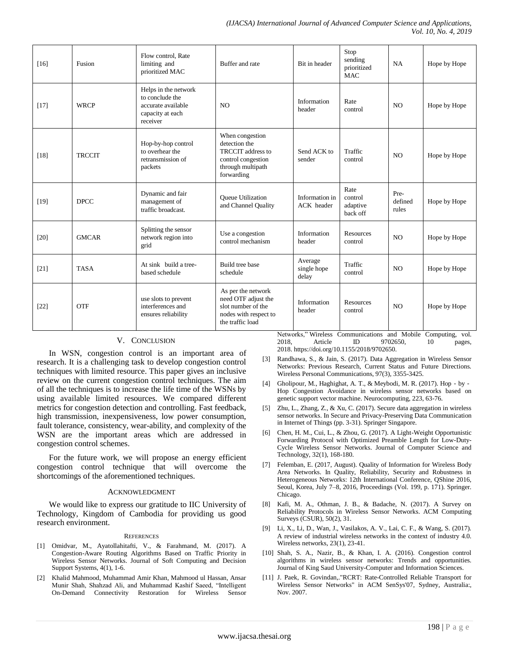| $[16]$ | Fusion        | Flow control. Rate<br>limiting and<br>prioritized MAC                                         | Buffer and rate                                                                                                       | Bit in header                   | Stop<br>sending<br>prioritized<br><b>MAC</b> | <b>NA</b>                | Hope by Hope |
|--------|---------------|-----------------------------------------------------------------------------------------------|-----------------------------------------------------------------------------------------------------------------------|---------------------------------|----------------------------------------------|--------------------------|--------------|
| $[17]$ | <b>WRCP</b>   | Helps in the network<br>to conclude the<br>accurate available<br>capacity at each<br>receiver | N <sub>O</sub>                                                                                                        | Information<br>header           | Rate<br>control                              | N <sub>O</sub>           | Hope by Hope |
| [18]   | <b>TRCCIT</b> | Hop-by-hop control<br>to overhear the<br>retransmission of<br>packets                         | When congestion<br>detection the<br><b>TRCCIT</b> address to<br>control congestion<br>through multipath<br>forwarding | Send ACK to<br>sender           | Traffic<br>control                           | N <sub>O</sub>           | Hope by Hope |
| $[19]$ | <b>DPCC</b>   | Dynamic and fair<br>management of<br>traffic broadcast.                                       | <b>Oueue Utilization</b><br>and Channel Quality                                                                       | Information in<br>ACK header    | Rate<br>control<br>adaptive<br>back off      | Pre-<br>defined<br>rules | Hope by Hope |
| $[20]$ | <b>GMCAR</b>  | Splitting the sensor<br>network region into<br>grid                                           | Use a congestion<br>control mechanism                                                                                 | Information<br>header           | <b>Resources</b><br>control                  | N <sub>O</sub>           | Hope by Hope |
| [21]   | <b>TASA</b>   | At sink build a tree-<br>based schedule                                                       | Build tree base<br>schedule                                                                                           | Average<br>single hope<br>delay | Traffic<br>control                           | N <sub>O</sub>           | Hope by Hope |
| $[22]$ | <b>OTF</b>    | use slots to prevent<br>interferences and<br>ensures reliability                              | As per the network<br>need OTF adjust the<br>slot number of the<br>nodes with respect to<br>the traffic load          | Information<br>header           | Resources<br>control                         | N <sub>O</sub>           | Hope by Hope |

#### V. CONCLUSION

In WSN, congestion control is an important area of research. It is a challenging task to develop congestion control techniques with limited resource. This paper gives an inclusive review on the current congestion control techniques. The aim of all the techniques is to increase the life time of the WSNs by using available limited resources. We compared different metrics for congestion detection and controlling. Fast feedback, high transmission, inexpensiveness, low power consumption, fault tolerance, consistency, wear-ability, and complexity of the WSN are the important areas which are addressed in congestion control schemes.

For the future work, we will propose an energy efficient congestion control technique that will overcome the shortcomings of the aforementioned techniques.

#### ACKNOWLEDGMENT

We would like to express our gratitude to IIC University of Technology, Kingdom of Cambodia for providing us good research environment.

#### **REFERENCES**

- [1] Omidvar, M., Ayatollahitafti, V., & Farahmand, M. (2017). A Congestion-Aware Routing Algorithms Based on Traffic Priority in Wireless Sensor Networks. Journal of Soft Computing and Decision Support Systems, 4(1), 1-6.
- [2] Khalid Mahmood, Muhammad Amir Khan, Mahmood ul Hassan, Ansar Munir Shah, Shahzad Ali, and Muhammad Kashif Saeed, "Intelligent On-Demand Connectivity Restoration for Wireless Sensor

Networks," Wireless Communications and Mobile Computing, vol.<br>2018, Article ID 9702650, 10 pages, Article ID 9702650, 10 pages, 2018. [https://doi.org/10.1155/2018/9702650.](https://doi.org/10.1155/2018/9702650)

- [3] Randhawa, S., & Jain, S. (2017). Data Aggregation in Wireless Sensor Networks: Previous Research, Current Status and Future Directions. Wireless Personal Communications, 97(3), 3355-3425.
- Gholipour, M., Haghighat, A. T., & Meybodi, M. R. (2017). Hop by -Hop Congestion Avoidance in wireless sensor networks based on genetic support vector machine. Neurocomputing, 223, 63-76.
- [5] Zhu, L., Zhang, Z., & Xu, C. (2017). Secure data aggregation in wireless sensor networks. In Secure and Privacy-Preserving Data Communication in Internet of Things (pp. 3-31). Springer Singapore.
- [6] Chen, H. M., Cui, L., & Zhou, G. (2017). A Light-Weight Opportunistic Forwarding Protocol with Optimized Preamble Length for Low-Duty-Cycle Wireless Sensor Networks. Journal of Computer Science and Technology, 32(1), 168-180.
- [7] Felemban, E. (2017, August). Quality of Information for Wireless Body Area Networks. In Quality, Reliability, Security and Robustness in Heterogeneous Networks: 12th International Conference, QShine 2016, Seoul, Korea, July 7–8, 2016, Proceedings (Vol. 199, p. 171). Springer. Chicago.
- [8] Kafi, M. A., Othman, J. B., & Badache, N. (2017). A Survey on Reliability Protocols in Wireless Sensor Networks. ACM Computing Surveys (CSUR), 50(2), 31.
- [9] Li, X., Li, D., Wan, J., Vasilakos, A. V., Lai, C. F., & Wang, S. (2017). A review of industrial wireless networks in the context of industry 4.0. Wireless networks, 23(1), 23-41.
- [10] Shah, S. A., Nazir, B., & Khan, I. A. (2016). Congestion control algorithms in wireless sensor networks: Trends and opportunities. Journal of King Saud University-Computer and Information Sciences.
- [11] J. Paek, R. Govindan, "RCRT: Rate-Controlled Reliable Transport for Wireless Sensor Networks" in ACM SenSys'07, Sydney, Australia:, Nov. 2007.